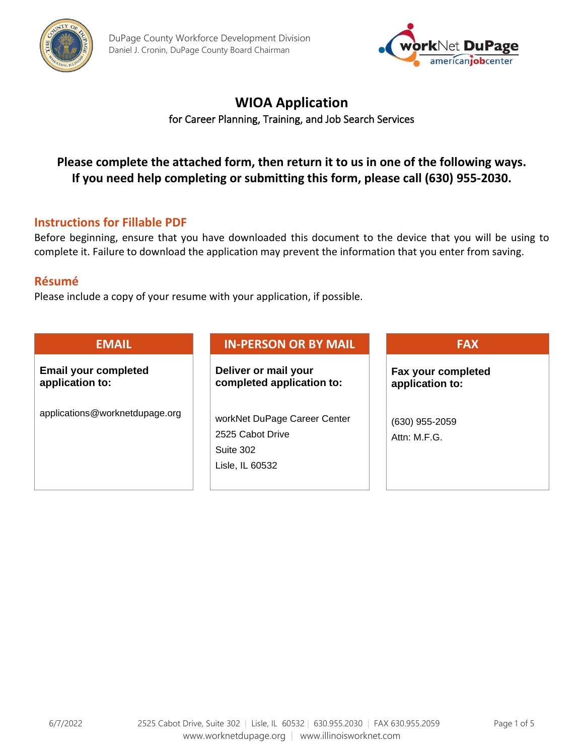



## **WIOA Application** for Career Planning, Training, and Job Search Services

# **Please complete the attached form, then return it to us in one of the following ways. If you need help completing or submitting this form, please call (630) 955-2030.**

## **Instructions for Fillable PDF**

Before beginning, ensure that you have downloaded this document to the device that you will be using to complete it. Failure to download the application may prevent the information that you enter from saving.

## **Résumé**

Please include a copy of your resume with your application, if possible.

| <b>EMAIL</b>                                   | <b>IN-PERSON OR BY MAIL</b>                                                      | <b>FAX</b>                            |
|------------------------------------------------|----------------------------------------------------------------------------------|---------------------------------------|
| <b>Email your completed</b><br>application to: | Deliver or mail your<br>completed application to:                                | Fax your completed<br>application to: |
| applications@worknetdupage.org                 | workNet DuPage Career Center<br>2525 Cabot Drive<br>Suite 302<br>Lisle, IL 60532 | $(630)$ 955-2059<br>Attn: M.F.G.      |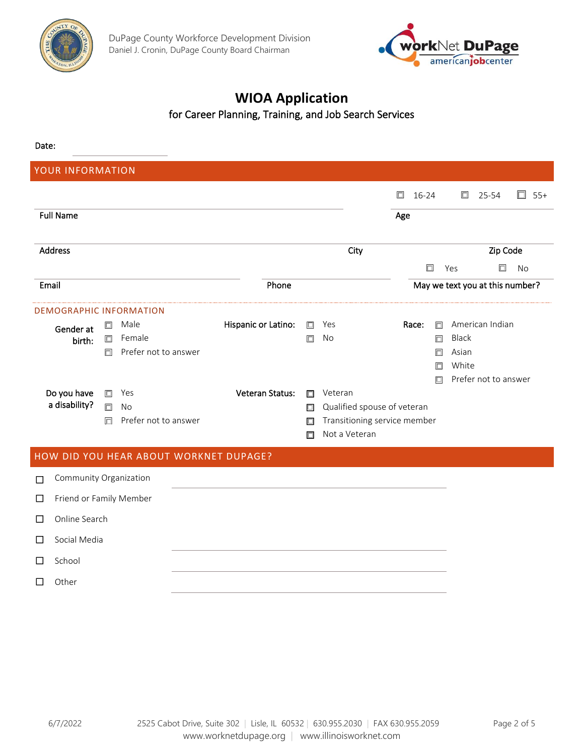



# **WIOA Application**

## for Career Planning, Training, and Job Search Services

| Date:                                             |                         |             |                                        |  |                        |  |        |                                  |        |       |             |                |                      |    |            |
|---------------------------------------------------|-------------------------|-------------|----------------------------------------|--|------------------------|--|--------|----------------------------------|--------|-------|-------------|----------------|----------------------|----|------------|
|                                                   | YOUR INFORMATION        |             |                                        |  |                        |  |        |                                  |        |       |             |                |                      |    |            |
|                                                   |                         |             |                                        |  |                        |  |        |                                  | $\Box$ | 16-24 |             |                | $\Box$ 25-54         |    | $\Box$ 55+ |
|                                                   | <b>Full Name</b>        |             |                                        |  |                        |  |        |                                  | Age    |       |             |                |                      |    |            |
| <b>Address</b>                                    |                         |             |                                        |  |                        |  |        | City                             |        |       |             |                | Zip Code             |    |            |
|                                                   |                         |             |                                        |  |                        |  |        |                                  |        |       | 口           | Yes            | □                    | No |            |
| Email<br>Phone<br>May we text you at this number? |                         |             |                                        |  |                        |  |        |                                  |        |       |             |                |                      |    |            |
|                                                   |                         |             | <b>DEMOGRAPHIC INFORMATION</b>         |  |                        |  |        |                                  |        |       |             |                |                      |    |            |
|                                                   | Gender at               | □           | Male                                   |  | Hispanic or Latino:    |  | $\Box$ | Yes                              |        | Race: | $\Box$      |                | American Indian      |    |            |
|                                                   | birth:                  | $\Box$<br>п | Female<br>Prefer not to answer         |  |                        |  | o      | No                               |        |       | $\Box$<br>п | Black<br>Asian |                      |    |            |
|                                                   |                         |             |                                        |  |                        |  |        |                                  |        |       | □           | White          |                      |    |            |
|                                                   |                         |             |                                        |  |                        |  |        |                                  |        |       | 口           |                | Prefer not to answer |    |            |
|                                                   | Do you have             | 口           | Yes                                    |  | <b>Veteran Status:</b> |  | $\Box$ | Veteran                          |        |       |             |                |                      |    |            |
|                                                   | a disability?           | $\Box$      | <b>No</b>                              |  |                        |  |        | Qualified spouse of veteran<br>口 |        |       |             |                |                      |    |            |
| n.                                                |                         |             | Prefer not to answer                   |  |                        |  | □      | Transitioning service member     |        |       |             |                |                      |    |            |
|                                                   |                         |             |                                        |  |                        |  | Π      | Not a Veteran                    |        |       |             |                |                      |    |            |
|                                                   |                         |             | HOW DID YOU HEAR ABOUT WORKNET DUPAGE? |  |                        |  |        |                                  |        |       |             |                |                      |    |            |
| $\Box$                                            | Community Organization  |             |                                        |  |                        |  |        |                                  |        |       |             |                |                      |    |            |
| $\Box$                                            | Friend or Family Member |             |                                        |  |                        |  |        |                                  |        |       |             |                |                      |    |            |
| □                                                 | Online Search           |             |                                        |  |                        |  |        |                                  |        |       |             |                |                      |    |            |
| □                                                 | Social Media            |             |                                        |  |                        |  |        |                                  |        |       |             |                |                      |    |            |
| □                                                 | School                  |             |                                        |  |                        |  |        |                                  |        |       |             |                |                      |    |            |
| □                                                 | Other                   |             |                                        |  |                        |  |        |                                  |        |       |             |                |                      |    |            |
|                                                   |                         |             |                                        |  |                        |  |        |                                  |        |       |             |                |                      |    |            |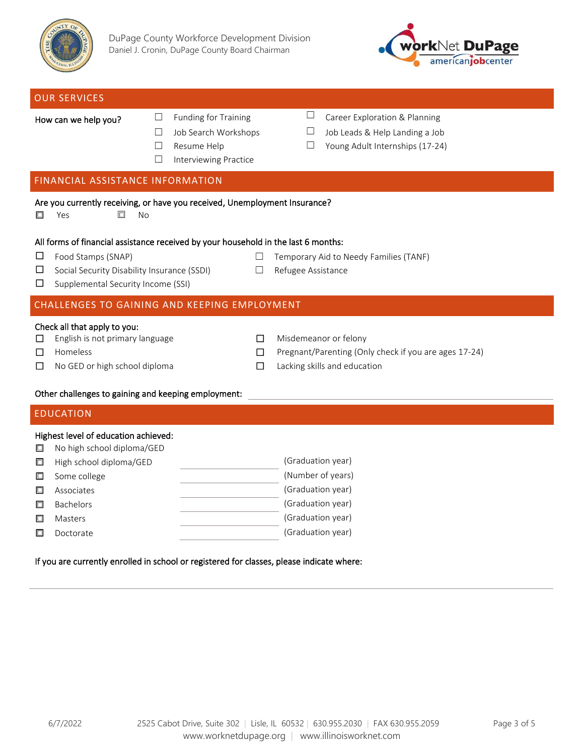



## OUR SERVICES

- 
- 
- 
- □ Interviewing Practice

# How can we help you? □ Funding for Training □ Career Exploration & Planning

- ☐ Job Search Workshops ☐ Job Leads & Help Landing a Job
- ☐ Resume Help ☐ Young Adult Internships (17-24)

## FINANCIAL ASSISTANCE INFORMATION

| Yes<br>□<br>No                                                                                                                                                          |                  |                                                                                                                                                                                                                  |
|-------------------------------------------------------------------------------------------------------------------------------------------------------------------------|------------------|------------------------------------------------------------------------------------------------------------------------------------------------------------------------------------------------------------------|
| Food Stamps (SNAP)<br>Social Security Disability Insurance (SSDI)<br>Supplemental Security Income (SSI)                                                                 |                  | Temporary Aid to Needy Families (TANF)<br>Refugee Assistance                                                                                                                                                     |
|                                                                                                                                                                         |                  |                                                                                                                                                                                                                  |
| Check all that apply to you:<br>English is not primary language<br>Homeless<br>No GED or high school diploma<br>Other challenges to gaining and keeping employment:     | П<br>П<br>П      | Misdemeanor or felony<br>Pregnant/Parenting (Only check if you are ages 17-24)<br>Lacking skills and education                                                                                                   |
|                                                                                                                                                                         |                  |                                                                                                                                                                                                                  |
| Highest level of education achieved:<br>No high school diploma/GED<br>High school diploma/GED<br>Some college<br>Associates<br><b>Bachelors</b><br>Masters<br>Doctorate |                  | (Graduation year)<br>(Number of years)<br>(Graduation year)<br>(Graduation year)<br>(Graduation year)<br>(Graduation year)                                                                                       |
|                                                                                                                                                                         | <b>EDUCATION</b> | Are you currently receiving, or have you received, Unemployment Insurance?<br>All forms of financial assistance received by your household in the last 6 months:<br>CHALLENGES TO GAINING AND KEEPING EMPLOYMENT |

#### If you are currently enrolled in school or registered for classes, please indicate where: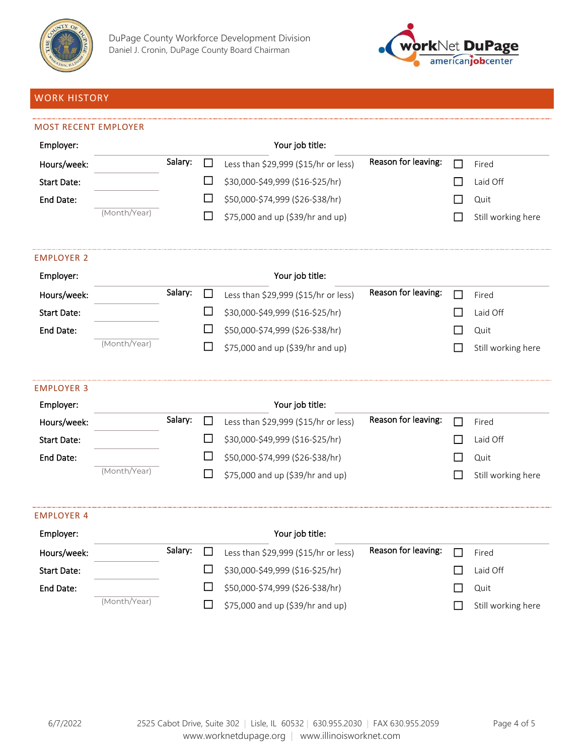



## WORK HISTORY

#### MOST RECENT EMPLOYER

| Employer:                        |              |         |                                                                       | Your job title:                      |                     |              |                    |  |  |
|----------------------------------|--------------|---------|-----------------------------------------------------------------------|--------------------------------------|---------------------|--------------|--------------------|--|--|
| Hours/week:                      |              | Salary: | Reason for leaving:<br>$\Box$<br>Less than \$29,999 (\$15/hr or less) |                                      |                     |              | П<br>Fired         |  |  |
| <b>Start Date:</b>               |              |         | $\Box$                                                                | \$30,000-\$49,999 (\$16-\$25/hr)     |                     | $\Box$       | Laid Off           |  |  |
| <b>End Date:</b>                 |              |         |                                                                       | \$50,000-\$74,999 (\$26-\$38/hr)     |                     |              |                    |  |  |
|                                  | (Month/Year) |         |                                                                       | \$75,000 and up (\$39/hr and up)     |                     |              | Still working here |  |  |
| <b>EMPLOYER 2</b>                |              |         |                                                                       |                                      |                     |              |                    |  |  |
| Employer:                        |              |         |                                                                       | Your job title:                      |                     |              |                    |  |  |
| Hours/week:                      |              | Salary: | $\Box$                                                                | Less than \$29,999 (\$15/hr or less) | Reason for leaving: | П            | Fired              |  |  |
| <b>Start Date:</b>               |              |         |                                                                       | \$30,000-\$49,999 (\$16-\$25/hr)     |                     | П            | Laid Off           |  |  |
| <b>End Date:</b>                 |              |         |                                                                       | \$50,000-\$74,999 (\$26-\$38/hr)     |                     | H            | Quit               |  |  |
|                                  | (Month/Year) |         |                                                                       | \$75,000 and up (\$39/hr and up)     |                     | $\mathsf{L}$ | Still working here |  |  |
| <b>EMPLOYER 3</b>                |              |         |                                                                       |                                      |                     |              |                    |  |  |
| Employer:                        |              |         |                                                                       | Your job title:                      |                     |              |                    |  |  |
| Salary:<br>Hours/week:           |              | $\Box$  | Less than \$29,999 (\$15/hr or less)                                  | Reason for leaving:                  | П                   | Fired        |                    |  |  |
| <b>Start Date:</b>               |              |         | U                                                                     | \$30,000-\$49,999 (\$16-\$25/hr)     |                     | H            | Laid Off           |  |  |
| $\mathsf{L}$<br><b>End Date:</b> |              |         | \$50,000-\$74,999 (\$26-\$38/hr)                                      |                                      |                     | Quit         |                    |  |  |
|                                  | (Month/Year) |         | $\Box$                                                                | \$75,000 and up (\$39/hr and up)     |                     |              | Still working here |  |  |
| <b>EMPLOYER 4</b>                |              |         |                                                                       |                                      |                     |              |                    |  |  |
| Employer:                        |              |         |                                                                       | Your job title:                      |                     |              |                    |  |  |
| Salary:<br>Hours/week:           |              |         |                                                                       | Less than \$29,999 (\$15/hr or less) | Reason for leaving: | П            | Fired              |  |  |
| <b>Start Date:</b>               |              |         |                                                                       | \$30,000-\$49,999 (\$16-\$25/hr)     | П                   | Laid Off     |                    |  |  |

 $\Box$  \$50,000-\$74,999 (\$26-\$38/hr)  $\Box$  Quit (Month/Year) □ \$75,000 and up (\$39/hr and up) □ Still working here